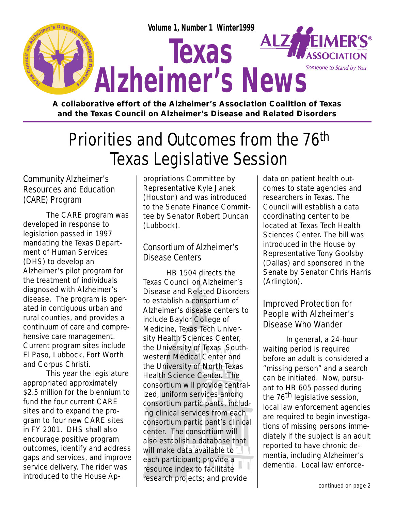

**A collaborative effort of the Alzheimer's Association Coalition of Texas and the Texas Council on Alzheimer's Disease and Related Disorders**

# Priorities and Outcomes from the 76th Texas Legislative Session

#### Community Alzheimer's Resources and Education (CARE) Program

The CARE program was developed in response to legislation passed in 1997 mandating the Texas Department of Human Services (DHS) to develop an Alzheimer's pilot program for the treatment of individuals diagnosed with Alzheimer's disease. The program is operated in contiguous urban and rural counties, and provides a continuum of care and comprehensive care management. Current program sites include El Paso, Lubbock, Fort Worth and Corpus Christi.

This year the legislature appropriated approximately \$2.5 million for the biennium to fund the four current CARE sites and to expand the program to four new CARE sites in FY 2001. DHS shall also encourage positive program outcomes, identify and address gaps and services, and improve service delivery. The rider was introduced to the House Appropriations Committee by Representative Kyle Janek (Houston) and was introduced to the Senate Finance Committee by Senator Robert Duncan (Lubbock).

#### Consortium of Alzheimer's Disease Centers

HB 1504 directs the Texas Council on Alzheimer's Disease and Related Disorders to establish a consortium of Alzheimer's disease centers to include Baylor College of Medicine, Texas Tech University Health Sciences Center, the University of Texas Southwestern Medical Center and the University of North Texas Health Science Center. The consortium will provide centralized, uniform services among consortium participants, including clinical services from each consortium participant's clinical center. The consortium will also establish a database that will make data available to each participant; provide a resource index to facilitate research projects; and provide

data on patient health outcomes to state agencies and researchers in Texas. The Council will establish a data coordinating center to be located at Texas Tech Health Sciences Center. The bill was introduced in the House by Representative Tony Goolsby (Dallas) and sponsored in the Senate by Senator Chris Harris (Arlington).

#### Improved Protection for People with Alzheimer's Disease Who Wander

In general, a 24-hour waiting period is required before an adult is considered a "missing person" and a search can be initiated. Now, pursuant to HB 605 passed during the 76<sup>th</sup> legislative session. local law enforcement agencies are required to begin investigations of missing persons immediately if the subject is an adult reported to have chronic dementia, including Alzheimer's dementia. Local law enforce-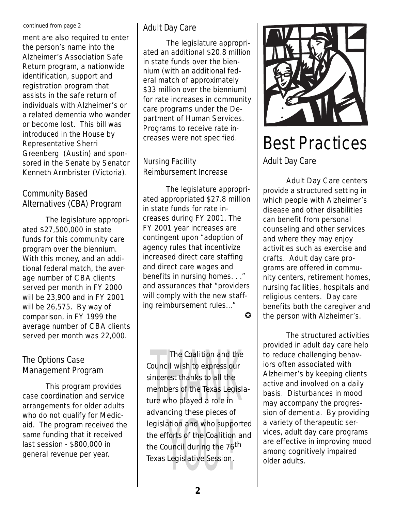#### continued from page 2

ment are also required to enter the person's name into the Alzheimer's Association Safe Return program, a nationwide identification, support and registration program that assists in the safe return of individuals with Alzheimer's or a related dementia who wander or become lost. This bill was introduced in the House by Representative Sherri Greenberg (Austin) and sponsored in the Senate by Senator Kenneth Armbrister (Victoria).

#### Community Based Alternatives (CBA) Program

tional federal mate<br>age number of CB<br>served per month<br>will be 23,900 and<br>will be 26,575. B<sub>)</sub><br>comparison, in FY<br>average number o<br>served per month<br>**The Options Case** The legislature appropriated \$27,500,000 in state funds for this community care program over the biennium. With this money, and an additional federal match, the average number of CBA clients served per month in FY 2000 will be 23,900 and in FY 2001 will be 26,575. By way of comparison, in FY 1999 the average number of CBA clients served per month was 22,000.

# Management Program

This program provides case coordination and service arrangements for older adults who do not qualify for Medicaid. The program received the same funding that it received last session - \$800,000 in general revenue per year.

#### Adult Day Care

The legislature appropriated an additional \$20.8 million in state funds over the biennium (with an additional federal match of approximately \$33 million over the biennium) for rate increases in community care programs under the Department of Human Services. Programs to receive rate increases were not specified.

#### Nursing Facility Reimbursement Increase

The legislature appropriated appropriated \$27.8 million in state funds for rate increases during FY 2001. The FY 2001 year increases are contingent upon "adoption of agency rules that incentivize increased direct care staffing and direct care wages and benefits in nursing homes. . ." and assurances that "providers will comply with the new staffing reimbursement rules..."  $\boldsymbol{\Omega}$ 

incerest thanks to all the<br>nembers of the Texas Legisl<br>ure who played a role in the Council during the 76<sup>th</sup><br>Texas Legislative Session. The Coalition and the Council wish to express our sincerest thanks to all the members of the Texas Legislature who played a role in advancing these pieces of legislation and who supported the efforts of the Coalition and Texas Legislative Session.



## Best Practices Adult Day Care

Adult Day Care centers provide a structured setting in which people with Alzheimer's disease and other disabilities can benefit from personal counseling and other services and where they may enjoy activities such as exercise and crafts. Adult day care programs are offered in community centers, retirement homes, nursing facilities, hospitals and religious centers. Day care benefits both the caregiver and the person with Alzheimer's.

The structured activities provided in adult day care help to reduce challenging behaviors often associated with Alzheimer's by keeping clients active and involved on a daily basis. Disturbances in mood may accompany the progression of dementia. By providing a variety of therapeutic services, adult day care programs are effective in improving mood among cognitively impaired older adults.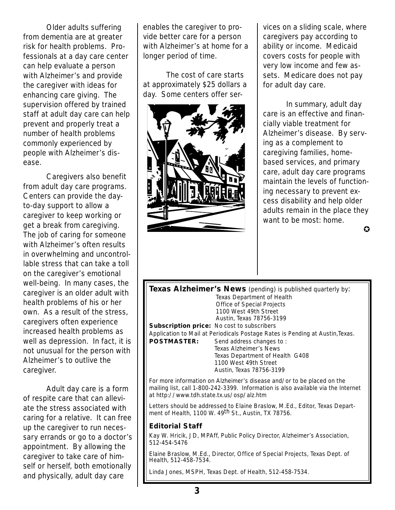Older adults suffering from dementia are at greater risk for health problems. Professionals at a day care center can help evaluate a person with Alzheimer's and provide the caregiver with ideas for enhancing care giving. The supervision offered by trained staff at adult day care can help prevent and properly treat a number of health problems commonly experienced by people with Alzheimer's disease.

caregiver to keep working or get a break from caregiving. The job of caring for someone with Alzheimer's often results in overwhelming and uncontrollable stress that can take a toll on the caregiver's emotional well-being. In many cases, the caregiver is an older adult with health problems of his or her own. As a result of the stress, caregivers often experience increased health problems as well as depression. In fact, it is not unusual for the person with Alzheimer's to outlive the caregiver. Caregivers also benefit from adult day care programs. Centers can provide the dayto-day support to allow a

Adult day care is a form of respite care that can alleviate the stress associated with caring for a relative. It can free up the caregiver to run necessary errands or go to a doctor's appointment. By allowing the caregiver to take care of himself or herself, both emotionally and physically, adult day care

enables the caregiver to provide better care for a person with Alzheimer's at home for a longer period of time.

The cost of care starts at approximately \$25 dollars a day. Some centers offer ser-



vices on a sliding scale, where caregivers pay according to ability or income. Medicaid covers costs for people with very low income and few assets. Medicare does not pay for adult day care.

In summary, adult day care is an effective and financially viable treatment for Alzheimer's disease. By serving as a complement to caregiving families, homebased services, and primary care, adult day care programs maintain the levels of functioning necessary to prevent excess disability and help older adults remain in the place they want to be most: home.

 $\Omega$ 

**Texas Alzheimer's News** (pending) is published quarterly by: Texas Department of Health Office of Special Projects 1100 West 49th Street Austin, Texas 78756-3199 **Subscription price:** No cost to subscribers Application to Mail at Periodicals Postage Rates is Pending at Austin, Texas.<br>**POSTMASTER:** Send address changes to: Send address changes to : Texas Alzheimer's News Texas Department of Health G408 1100 West 49th Street Austin, Texas 78756-3199

For more information on Alzheimer's disease and/or to be placed on the mailing list, call 1-800-242-3399. Information is also available via the Internet at http://www.tdh.state.tx.us/osp/alz.htm

Letters should be addressed to Elaine Braslow, M.Ed., Editor, Texas Department of Health, 1100 W. 49<sup>th</sup> St., Austin, TX 78756.

#### **Editorial Staff**

Kay W. Hricik, JD, MPAff, Public Policy Director, Alzheimer's Association, 512-454-5476

Elaine Braslow, M.Ed., Director, Office of Special Projects, Texas Dept. of Health, 512-458-7534.

Linda Jones, MSPH, Texas Dept. of Health, 512-458-7534.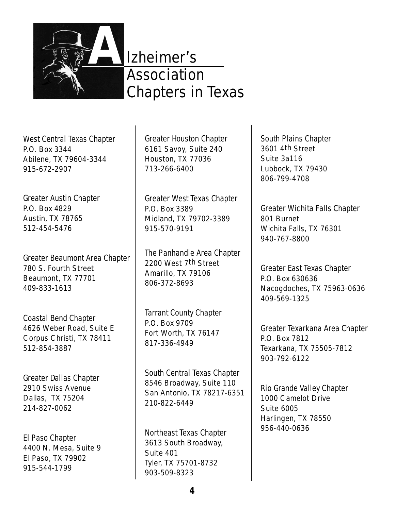

## lzheimer's **Association** Chapters in Texas

West Central Texas Chapter P.O. Box 3344

Abilene, TX 79604-3344 915-672-2907

## Greater Austin Chapter

P.O. Box 4829 Austin, TX 78765 512-454-5476

Greater Beaumont Area Chapter 780 S. Fourth Street Beaumont, TX 77701 409-833-1613

#### Coastal Bend Chapter

4626 Weber Road, Suite E Corpus Christi, TX 78411 512-854-3887

#### Greater Dallas Chapter

2910 Swiss Avenue Dallas, TX 75204 214-827-0062

#### El Paso Chapter

4400 N. Mesa, Suite 9 El Paso, TX 79902 915-544-1799

Greater Houston Chapter

6161 Savoy, Suite 240 Houston, TX 77036 713-266-6400

Greater West Texas Chapter P.O. Box 3389 Midland, TX 79702-3389 915-570-9191

The Panhandle Area Chapter 2200 West 7th Street Amarillo, TX 79106 806-372-8693

#### Tarrant County Chapter

P.O. Box 9709 Fort Worth, TX 76147 817-336-4949

#### South Central Texas Chapter

8546 Broadway, Suite 110 San Antonio, TX 78217-6351 210-822-6449

#### Northeast Texas Chapter

3613 South Broadway, Suite 401 Tyler, TX 75701-8732 903-509-8323

#### South Plains Chapter

3601 4th Street Suite 3a116 Lubbock, TX 79430 806-799-4708

Greater Wichita Falls Chapter 801 Burnet Wichita Falls, TX 76301 940-767-8800

Greater East Texas Chapter P.O. Box 630636 Nacogdoches, TX 75963-0636 409-569-1325

Greater Texarkana Area Chapter P.O. Box 7812 Texarkana, TX 75505-7812 903-792-6122

#### Rio Grande Valley Chapter

1000 Camelot Drive Suite 6005 Harlingen, TX 78550 956-440-0636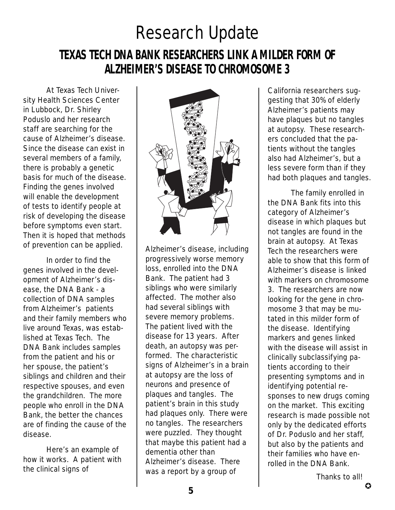# Research Update

## **TEXAS TECH DNA BANK RESEARCHERS LINK A MILDER FORM OF ALZHEIMER'S DISEASE TO CHROMOSOME 3**

At Texas Tech University Health Sciences Center in Lubbock, Dr. Shirley Poduslo and her research staff are searching for the cause of Alzheimer's disease. Since the disease can exist in several members of a family, there is probably a genetic basis for much of the disease. Finding the genes involved will enable the development of tests to identify people at risk of developing the disease before symptoms even start. Then it is hoped that methods of prevention can be applied.

In order to find the genes involved in the development of Alzheimer's disease, the DNA Bank - a collection of DNA samples from Alzheimer's patients and their family members who live around Texas, was established at Texas Tech. The DNA Bank includes samples from the patient and his or her spouse, the patient's siblings and children and their respective spouses, and even the grandchildren. The more people who enroll in the DNA Bank, the better the chances are of finding the cause of the disease.

Here's an example of how it works. A patient with the clinical signs of



Alzheimer's disease, including progressively worse memory loss, enrolled into the DNA Bank. The patient had 3 siblings who were similarly affected. The mother also had several siblings with severe memory problems. The patient lived with the disease for 13 years. After death, an autopsy was performed. The characteristic signs of Alzheimer's in a brain at autopsy are the loss of neurons and presence of plaques and tangles. The patient's brain in this study had plaques only. There were no tangles. The researchers were puzzled. They thought that maybe this patient had a dementia other than Alzheimer's disease. There was a report by a group of

California researchers suggesting that 30% of elderly Alzheimer's patients may have plaques but no tangles at autopsy. These researchers concluded that the patients without the tangles also had Alzheimer's, but a less severe form than if they had both plaques and tangles.

The family enrolled in the DNA Bank fits into this category of Alzheimer's disease in which plaques but not tangles are found in the brain at autopsy. At Texas Tech the researchers were able to show that this form of Alzheimer's disease is linked with markers on chromosome 3. The researchers are now looking for the gene in chromosome 3 that may be mutated in this milder form of the disease. Identifying markers and genes linked with the disease will assist in clinically subclassifying patients according to their presenting symptoms and in identifying potential responses to new drugs coming on the market. This exciting research is made possible not only by the dedicated efforts of Dr. Poduslo and her staff, but also by the patients and their families who have enrolled in the DNA Bank.

Thanks to all!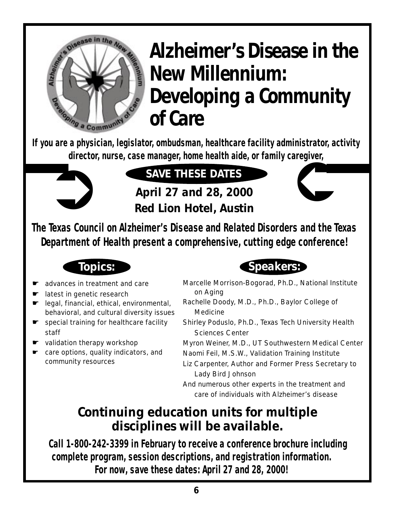# 9 a Community

# **Alzheimer's Disease in the New Millennium: Developing a Community of Care**

**If you are a physician, legislator, ombudsman, healthcare facility administrator, activity director, nurse, case manager, home health aide, or family caregiver,**



# **SAVE THESE DATES!**

**April 27 and 28, 2000 Red Lion Hotel, Austin**



**The Texas Council on Alzheimer's Disease and Related Disorders and the Texas Department of Health present a comprehensive, cutting edge conference!**



- advances in treatment and care
- latest in genetic research
- ☛ legal, financial, ethical, environmental, behavioral, and cultural diversity issues
- ☛ special training for healthcare facility staff
- ☛ validation therapy workshop
- ☛ care options, quality indicators, and community resources



- Marcelle Morrison-Bogorad, Ph.D., National Institute on Aging
- Rachelle Doody, M.D., Ph.D., Baylor College of Medicine
- Shirley Poduslo, Ph.D., Texas Tech University Health Sciences Center
- Myron Weiner, M.D., UT Southwestern Medical Center
- Naomi Feil, M.S.W., Validation Training Institute
- Liz Carpenter, Author and Former Press Secretary to Lady Bird Johnson
- And numerous other experts in the treatment and care of individuals with Alzheimer's disease

## **Continuing education units for multiple disciplines will be available.**

**Call 1-800-242-3399 in February to receive a conference brochure including complete program, session descriptions, and registration information. For now, save these dates: April 27 and 28, 2000!**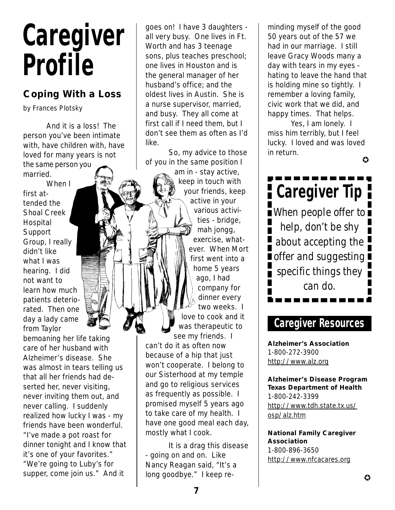# **Caregiver Profile**

### **Coping With a Loss**

by Frances Plotsky

And it is a loss! The person you've been intimate with, have children with, have loved for many years is not the same person you married.

When I first attended the Shoal Creek Hospital **Support** Group, I really didn't like what I was hearing. I did not want to learn how much patients deteriorated. Then one day a lady came from Taylor

bemoaning her life taking care of her husband with Alzheimer's disease. She was almost in tears telling us that all her friends had deserted her, never visiting, never inviting them out, and never calling. I suddenly realized how lucky I was - my friends have been wonderful. "I've made a pot roast for dinner tonight and I know that it's one of your favorites." "We're going to Luby's for supper, come join us." And it

goes on! I have 3 daughters all very busy. One lives in Ft. Worth and has 3 teenage sons, plus teaches preschool; one lives in Houston and is the general manager of her husband's office; and the oldest lives in Austin. She is a nurse supervisor, married, and busy. They all come at first call if I need them, but I don't see them as often as I'd like.

So, my advice to those of you in the same position I

> am in - stay active, keep in touch with your friends, keep active in your various activities - bridge, mah jongg, exercise, whatever. When Mort first went into a home 5 years ago, I had company for dinner every two weeks. I love to cook and it was therapeutic to

see my friends. I can't do it as often now because of a hip that just won't cooperate. I belong to our Sisterhood at my temple and go to religious services as frequently as possible. I promised myself 5 years ago to take care of my health. I have one good meal each day, mostly what I cook.

It is a drag this disease - going on and on. Like Nancy Reagan said, "It's a long goodbye." I keep reminding myself of the good 50 years out of the 57 we had in our marriage. I still leave Gracy Woods many a day with tears in my eyes hating to leave the hand that is holding mine so tightly. I remember a loving family, civic work that we did, and happy times. That helps.

Yes, I am lonely. I miss him terribly, but I feel lucky. I loved and was loved in return.

✪

**Caregiver Tip F Notainally** When people offer to help, don't be shy about accepting the  $\overline{\phantom{a}}$  offer and suggesting  $\overline{\phantom{a}}$ specific things they can do.

## **Caregiver Resources**

**Alzheimer's Association** 1-800-272-3900 http://www.alz.org

**Alzheimer's Disease Program Texas Department of Health** 1-800-242-3399 http://www.tdh.state.tx.us/ osp/alz.htm

**National Family Caregiver Association** 1-800-896-3650 http://www.nfcacares.org